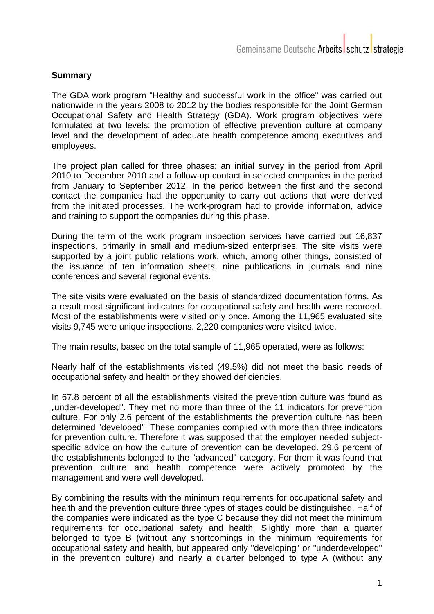## **Summary**

The GDA work program "Healthy and successful work in the office" was carried out nationwide in the years 2008 to 2012 by the bodies responsible for the Joint German Occupational Safety and Health Strategy (GDA). Work program objectives were formulated at two levels: the promotion of effective prevention culture at company level and the development of adequate health competence among executives and employees.

The project plan called for three phases: an initial survey in the period from April 2010 to December 2010 and a follow-up contact in selected companies in the period from January to September 2012. In the period between the first and the second contact the companies had the opportunity to carry out actions that were derived from the initiated processes. The work-program had to provide information, advice and training to support the companies during this phase.

During the term of the work program inspection services have carried out 16,837 inspections, primarily in small and medium-sized enterprises. The site visits were supported by a joint public relations work, which, among other things, consisted of the issuance of ten information sheets, nine publications in journals and nine conferences and several regional events.

The site visits were evaluated on the basis of standardized documentation forms. As a result most significant indicators for occupational safety and health were recorded. Most of the establishments were visited only once. Among the 11,965 evaluated site visits 9,745 were unique inspections. 2,220 companies were visited twice.

The main results, based on the total sample of 11,965 operated, were as follows:

Nearly half of the establishments visited (49.5%) did not meet the basic needs of occupational safety and health or they showed deficiencies.

In 67.8 percent of all the establishments visited the prevention culture was found as "under-developed". They met no more than three of the 11 indicators for prevention culture. For only 2.6 percent of the establishments the prevention culture has been determined "developed". These companies complied with more than three indicators for prevention culture. Therefore it was supposed that the employer needed subjectspecific advice on how the culture of prevention can be developed. 29.6 percent of the establishments belonged to the "advanced" category. For them it was found that prevention culture and health competence were actively promoted by the management and were well developed.

By combining the results with the minimum requirements for occupational safety and health and the prevention culture three types of stages could be distinguished. Half of the companies were indicated as the type C because they did not meet the minimum requirements for occupational safety and health. Slightly more than a quarter belonged to type B (without any shortcomings in the minimum requirements for occupational safety and health, but appeared only "developing" or "underdeveloped" in the prevention culture) and nearly a quarter belonged to type A (without any